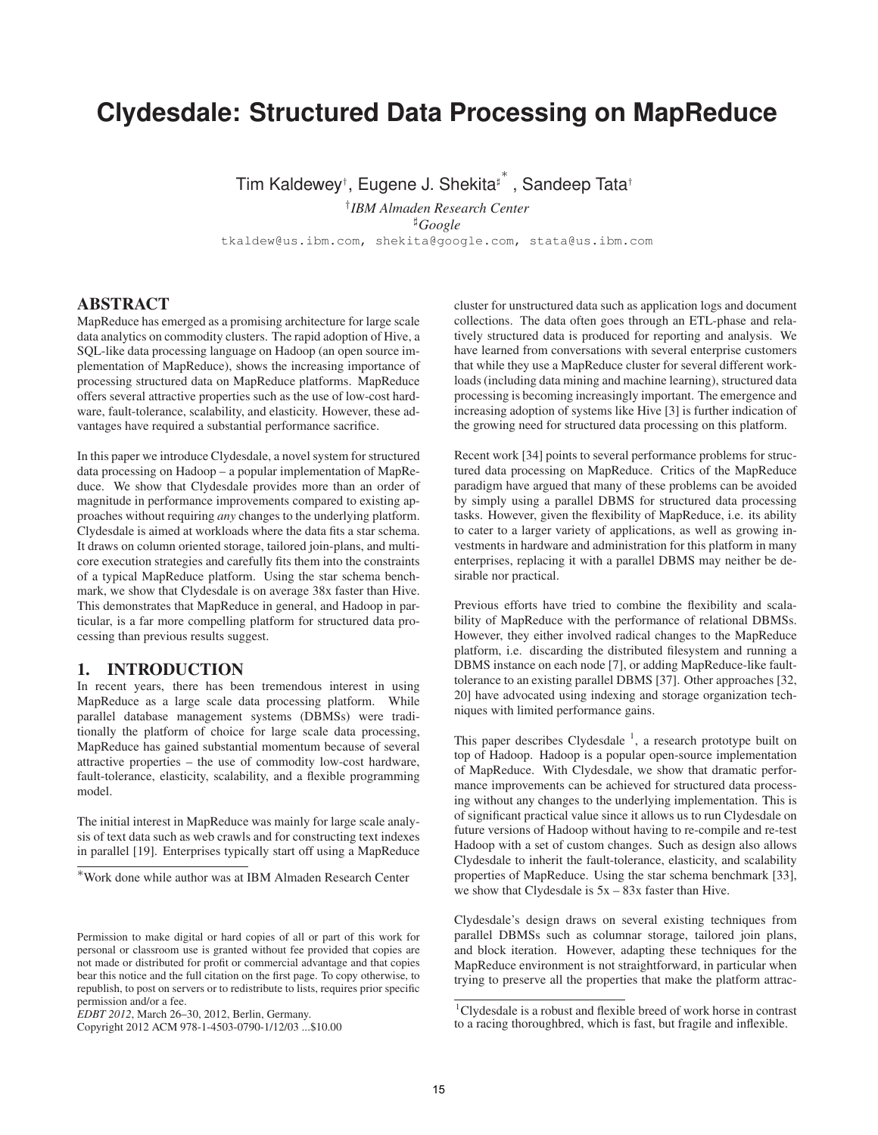# **Clydesdale: Structured Data Processing on MapReduce**

Tim Kaldewey<sup>⊦</sup>, Eugene J. Shekita<sup>‡\*</sup>, Sandeep Tata<sup>†</sup>

† *IBM Almaden Research Center* <sup>♯</sup>*Google* tkaldew@us.ibm.com, shekita@google.com, stata@us.ibm.com

#### **ABSTRACT**

MapReduce has emerged as a promising architecture for large scale data analytics on commodity clusters. The rapid adoption of Hive, a SQL-like data processing language on Hadoop (an open source implementation of MapReduce), shows the increasing importance of processing structured data on MapReduce platforms. MapReduce offers several attractive properties such as the use of low-cost hardware, fault-tolerance, scalability, and elasticity. However, these advantages have required a substantial performance sacrifice.

In this paper we introduce Clydesdale, a novel system for structured data processing on Hadoop – a popular implementation of MapReduce. We show that Clydesdale provides more than an order of magnitude in performance improvements compared to existing approaches without requiring *any* changes to the underlying platform. Clydesdale is aimed at workloads where the data fits a star schema. It draws on column oriented storage, tailored join-plans, and multicore execution strategies and carefully fits them into the constraints of a typical MapReduce platform. Using the star schema benchmark, we show that Clydesdale is on average 38x faster than Hive. This demonstrates that MapReduce in general, and Hadoop in particular, is a far more compelling platform for structured data processing than previous results suggest.

#### **1. INTRODUCTION**

In recent years, there has been tremendous interest in using MapReduce as a large scale data processing platform. While parallel database management systems (DBMSs) were traditionally the platform of choice for large scale data processing, MapReduce has gained substantial momentum because of several attractive properties – the use of commodity low-cost hardware, fault-tolerance, elasticity, scalability, and a flexible programming model.

The initial interest in MapReduce was mainly for large scale analysis of text data such as web crawls and for constructing text indexes in parallel [19]. Enterprises typically start off using a MapReduce cluster for unstructured data such as application logs and document collections. The data often goes through an ETL-phase and relatively structured data is produced for reporting and analysis. We have learned from conversations with several enterprise customers that while they use a MapReduce cluster for several different workloads (including data mining and machine learning), structured data processing is becoming increasingly important. The emergence and increasing adoption of systems like Hive [3] is further indication of the growing need for structured data processing on this platform.

Recent work [34] points to several performance problems for structured data processing on MapReduce. Critics of the MapReduce paradigm have argued that many of these problems can be avoided by simply using a parallel DBMS for structured data processing tasks. However, given the flexibility of MapReduce, i.e. its ability to cater to a larger variety of applications, as well as growing investments in hardware and administration for this platform in many enterprises, replacing it with a parallel DBMS may neither be desirable nor practical.

Previous efforts have tried to combine the flexibility and scalability of MapReduce with the performance of relational DBMSs. However, they either involved radical changes to the MapReduce platform, i.e. discarding the distributed filesystem and running a DBMS instance on each node [7], or adding MapReduce-like faulttolerance to an existing parallel DBMS [37]. Other approaches [32, 20] have advocated using indexing and storage organization techniques with limited performance gains.

This paper describes Clydesdale<sup>1</sup>, a research prototype built on top of Hadoop. Hadoop is a popular open-source implementation of MapReduce. With Clydesdale, we show that dramatic performance improvements can be achieved for structured data processing without any changes to the underlying implementation. This is of significant practical value since it allows us to run Clydesdale on future versions of Hadoop without having to re-compile and re-test Hadoop with a set of custom changes. Such as design also allows Clydesdale to inherit the fault-tolerance, elasticity, and scalability properties of MapReduce. Using the star schema benchmark [33], we show that Clydesdale is  $5x - 83x$  faster than Hive.

Clydesdale's design draws on several existing techniques from parallel DBMSs such as columnar storage, tailored join plans, and block iteration. However, adapting these techniques for the MapReduce environment is not straightforward, in particular when trying to preserve all the properties that make the platform attrac-

<sup>∗</sup>Work done while author was at IBM Almaden Research Center

Permission to make digital or hard copies of all or part of this work for personal or classroom use is granted without fee provided that copies are not made or distributed for profit or commercial advantage and that copies bear this notice and the full citation on the first page. To copy otherwise, to republish, to post on servers or to redistribute to lists, requires prior specific permission and/or a fee.

*EDBT 2012*, March 26–30, 2012, Berlin, Germany.

Copyright 2012 ACM 978-1-4503-0790-1/12/03 ...\$10.00

<sup>1</sup>Clydesdale is a robust and flexible breed of work horse in contrast to a racing thoroughbred, which is fast, but fragile and inflexible.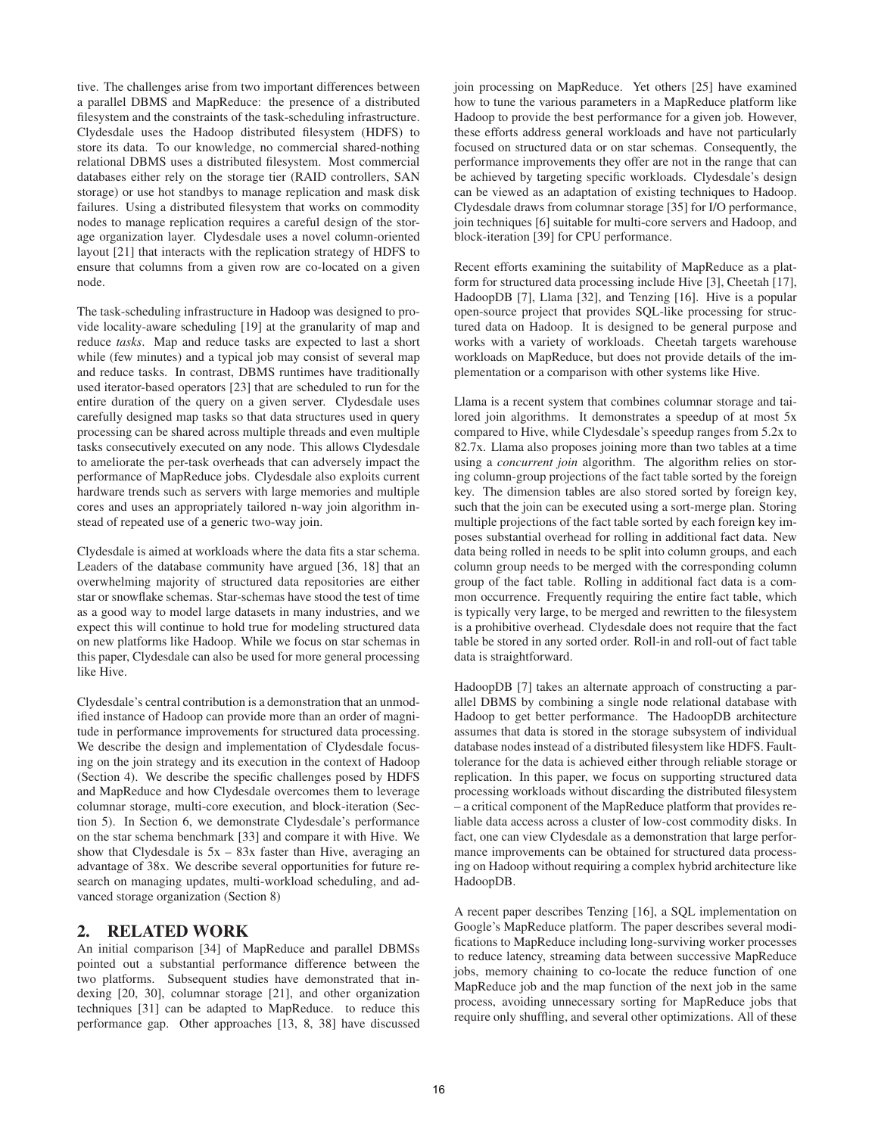tive. The challenges arise from two important differences between a parallel DBMS and MapReduce: the presence of a distributed filesystem and the constraints of the task-scheduling infrastructure. Clydesdale uses the Hadoop distributed filesystem (HDFS) to store its data. To our knowledge, no commercial shared-nothing relational DBMS uses a distributed filesystem. Most commercial databases either rely on the storage tier (RAID controllers, SAN storage) or use hot standbys to manage replication and mask disk failures. Using a distributed filesystem that works on commodity nodes to manage replication requires a careful design of the storage organization layer. Clydesdale uses a novel column-oriented layout [21] that interacts with the replication strategy of HDFS to ensure that columns from a given row are co-located on a given node.

The task-scheduling infrastructure in Hadoop was designed to provide locality-aware scheduling [19] at the granularity of map and reduce *tasks*. Map and reduce tasks are expected to last a short while (few minutes) and a typical job may consist of several map and reduce tasks. In contrast, DBMS runtimes have traditionally used iterator-based operators [23] that are scheduled to run for the entire duration of the query on a given server. Clydesdale uses carefully designed map tasks so that data structures used in query processing can be shared across multiple threads and even multiple tasks consecutively executed on any node. This allows Clydesdale to ameliorate the per-task overheads that can adversely impact the performance of MapReduce jobs. Clydesdale also exploits current hardware trends such as servers with large memories and multiple cores and uses an appropriately tailored n-way join algorithm instead of repeated use of a generic two-way join.

Clydesdale is aimed at workloads where the data fits a star schema. Leaders of the database community have argued [36, 18] that an overwhelming majority of structured data repositories are either star or snowflake schemas. Star-schemas have stood the test of time as a good way to model large datasets in many industries, and we expect this will continue to hold true for modeling structured data on new platforms like Hadoop. While we focus on star schemas in this paper, Clydesdale can also be used for more general processing like Hive.

Clydesdale's central contribution is a demonstration that an unmodified instance of Hadoop can provide more than an order of magnitude in performance improvements for structured data processing. We describe the design and implementation of Clydesdale focusing on the join strategy and its execution in the context of Hadoop (Section 4). We describe the specific challenges posed by HDFS and MapReduce and how Clydesdale overcomes them to leverage columnar storage, multi-core execution, and block-iteration (Section 5). In Section 6, we demonstrate Clydesdale's performance on the star schema benchmark [33] and compare it with Hive. We show that Clydesdale is  $5x - 83x$  faster than Hive, averaging an advantage of 38x. We describe several opportunities for future research on managing updates, multi-workload scheduling, and advanced storage organization (Section 8)

# **2. RELATED WORK**

An initial comparison [34] of MapReduce and parallel DBMSs pointed out a substantial performance difference between the two platforms. Subsequent studies have demonstrated that indexing [20, 30], columnar storage [21], and other organization techniques [31] can be adapted to MapReduce. to reduce this performance gap. Other approaches [13, 8, 38] have discussed join processing on MapReduce. Yet others [25] have examined how to tune the various parameters in a MapReduce platform like Hadoop to provide the best performance for a given job. However, these efforts address general workloads and have not particularly focused on structured data or on star schemas. Consequently, the performance improvements they offer are not in the range that can be achieved by targeting specific workloads. Clydesdale's design can be viewed as an adaptation of existing techniques to Hadoop. Clydesdale draws from columnar storage [35] for I/O performance, join techniques [6] suitable for multi-core servers and Hadoop, and block-iteration [39] for CPU performance.

Recent efforts examining the suitability of MapReduce as a platform for structured data processing include Hive [3], Cheetah [17], HadoopDB [7], Llama [32], and Tenzing [16]. Hive is a popular open-source project that provides SQL-like processing for structured data on Hadoop. It is designed to be general purpose and works with a variety of workloads. Cheetah targets warehouse workloads on MapReduce, but does not provide details of the implementation or a comparison with other systems like Hive.

Llama is a recent system that combines columnar storage and tailored join algorithms. It demonstrates a speedup of at most 5x compared to Hive, while Clydesdale's speedup ranges from 5.2x to 82.7x. Llama also proposes joining more than two tables at a time using a *concurrent join* algorithm. The algorithm relies on storing column-group projections of the fact table sorted by the foreign key. The dimension tables are also stored sorted by foreign key, such that the join can be executed using a sort-merge plan. Storing multiple projections of the fact table sorted by each foreign key imposes substantial overhead for rolling in additional fact data. New data being rolled in needs to be split into column groups, and each column group needs to be merged with the corresponding column group of the fact table. Rolling in additional fact data is a common occurrence. Frequently requiring the entire fact table, which is typically very large, to be merged and rewritten to the filesystem is a prohibitive overhead. Clydesdale does not require that the fact table be stored in any sorted order. Roll-in and roll-out of fact table data is straightforward.

HadoopDB [7] takes an alternate approach of constructing a parallel DBMS by combining a single node relational database with Hadoop to get better performance. The HadoopDB architecture assumes that data is stored in the storage subsystem of individual database nodes instead of a distributed filesystem like HDFS. Faulttolerance for the data is achieved either through reliable storage or replication. In this paper, we focus on supporting structured data processing workloads without discarding the distributed filesystem – a critical component of the MapReduce platform that provides reliable data access across a cluster of low-cost commodity disks. In fact, one can view Clydesdale as a demonstration that large performance improvements can be obtained for structured data processing on Hadoop without requiring a complex hybrid architecture like HadoopDB.

A recent paper describes Tenzing [16], a SQL implementation on Google's MapReduce platform. The paper describes several modifications to MapReduce including long-surviving worker processes to reduce latency, streaming data between successive MapReduce jobs, memory chaining to co-locate the reduce function of one MapReduce job and the map function of the next job in the same process, avoiding unnecessary sorting for MapReduce jobs that require only shuffling, and several other optimizations. All of these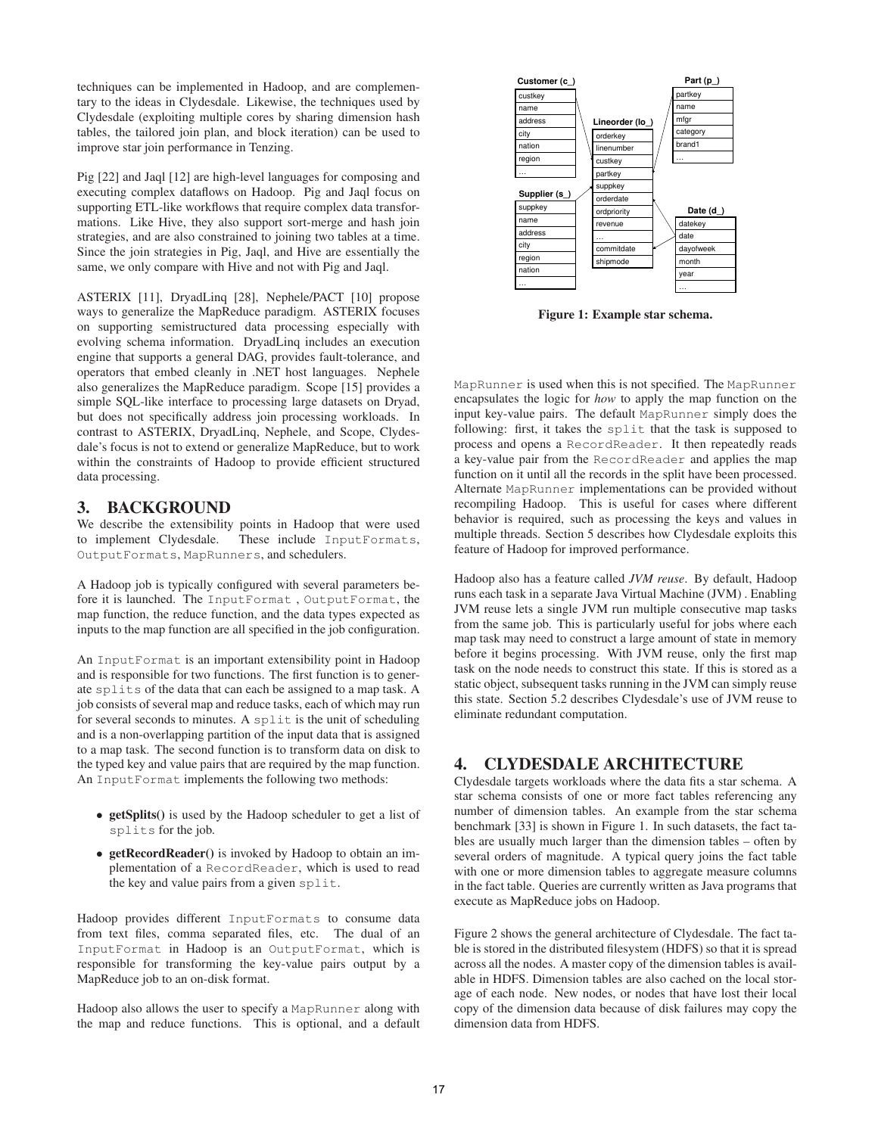techniques can be implemented in Hadoop, and are complementary to the ideas in Clydesdale. Likewise, the techniques used by Clydesdale (exploiting multiple cores by sharing dimension hash tables, the tailored join plan, and block iteration) can be used to improve star join performance in Tenzing.

Pig [22] and Jaql [12] are high-level languages for composing and executing complex dataflows on Hadoop. Pig and Jaql focus on supporting ETL-like workflows that require complex data transformations. Like Hive, they also support sort-merge and hash join strategies, and are also constrained to joining two tables at a time. Since the join strategies in Pig, Jaql, and Hive are essentially the same, we only compare with Hive and not with Pig and Jaql.

ASTERIX [11], DryadLinq [28], Nephele/PACT [10] propose ways to generalize the MapReduce paradigm. ASTERIX focuses on supporting semistructured data processing especially with evolving schema information. DryadLinq includes an execution engine that supports a general DAG, provides fault-tolerance, and operators that embed cleanly in .NET host languages. Nephele also generalizes the MapReduce paradigm. Scope [15] provides a simple SQL-like interface to processing large datasets on Dryad, but does not specifically address join processing workloads. In contrast to ASTERIX, DryadLinq, Nephele, and Scope, Clydesdale's focus is not to extend or generalize MapReduce, but to work within the constraints of Hadoop to provide efficient structured data processing.

#### **3. BACKGROUND**

We describe the extensibility points in Hadoop that were used to implement Clydesdale. These include InputFormats, OutputFormats, MapRunners, and schedulers.

A Hadoop job is typically configured with several parameters before it is launched. The InputFormat , OutputFormat, the map function, the reduce function, and the data types expected as inputs to the map function are all specified in the job configuration.

An InputFormat is an important extensibility point in Hadoop and is responsible for two functions. The first function is to generate splits of the data that can each be assigned to a map task. A job consists of several map and reduce tasks, each of which may run for several seconds to minutes. A split is the unit of scheduling and is a non-overlapping partition of the input data that is assigned to a map task. The second function is to transform data on disk to the typed key and value pairs that are required by the map function. An InputFormat implements the following two methods:

- **getSplits()** is used by the Hadoop scheduler to get a list of splits for the job.
- **getRecordReader()** is invoked by Hadoop to obtain an implementation of a RecordReader, which is used to read the key and value pairs from a given split.

Hadoop provides different InputFormats to consume data from text files, comma separated files, etc. The dual of an InputFormat in Hadoop is an OutputFormat, which is responsible for transforming the key-value pairs output by a MapReduce job to an on-disk format.

Hadoop also allows the user to specify a MapRunner along with the map and reduce functions. This is optional, and a default



**Figure 1: Example star schema.**

MapRunner is used when this is not specified. The MapRunner encapsulates the logic for *how* to apply the map function on the input key-value pairs. The default MapRunner simply does the following: first, it takes the split that the task is supposed to process and opens a RecordReader. It then repeatedly reads a key-value pair from the RecordReader and applies the map function on it until all the records in the split have been processed. Alternate MapRunner implementations can be provided without recompiling Hadoop. This is useful for cases where different behavior is required, such as processing the keys and values in multiple threads. Section 5 describes how Clydesdale exploits this feature of Hadoop for improved performance.

Hadoop also has a feature called *JVM reuse*. By default, Hadoop runs each task in a separate Java Virtual Machine (JVM) . Enabling JVM reuse lets a single JVM run multiple consecutive map tasks from the same job. This is particularly useful for jobs where each map task may need to construct a large amount of state in memory before it begins processing. With JVM reuse, only the first map task on the node needs to construct this state. If this is stored as a static object, subsequent tasks running in the JVM can simply reuse this state. Section 5.2 describes Clydesdale's use of JVM reuse to eliminate redundant computation.

# **4. CLYDESDALE ARCHITECTURE**

Clydesdale targets workloads where the data fits a star schema. A star schema consists of one or more fact tables referencing any number of dimension tables. An example from the star schema benchmark [33] is shown in Figure 1. In such datasets, the fact tables are usually much larger than the dimension tables – often by several orders of magnitude. A typical query joins the fact table with one or more dimension tables to aggregate measure columns in the fact table. Queries are currently written as Java programs that execute as MapReduce jobs on Hadoop.

Figure 2 shows the general architecture of Clydesdale. The fact table is stored in the distributed filesystem (HDFS) so that it is spread across all the nodes. A master copy of the dimension tables is available in HDFS. Dimension tables are also cached on the local storage of each node. New nodes, or nodes that have lost their local copy of the dimension data because of disk failures may copy the dimension data from HDFS.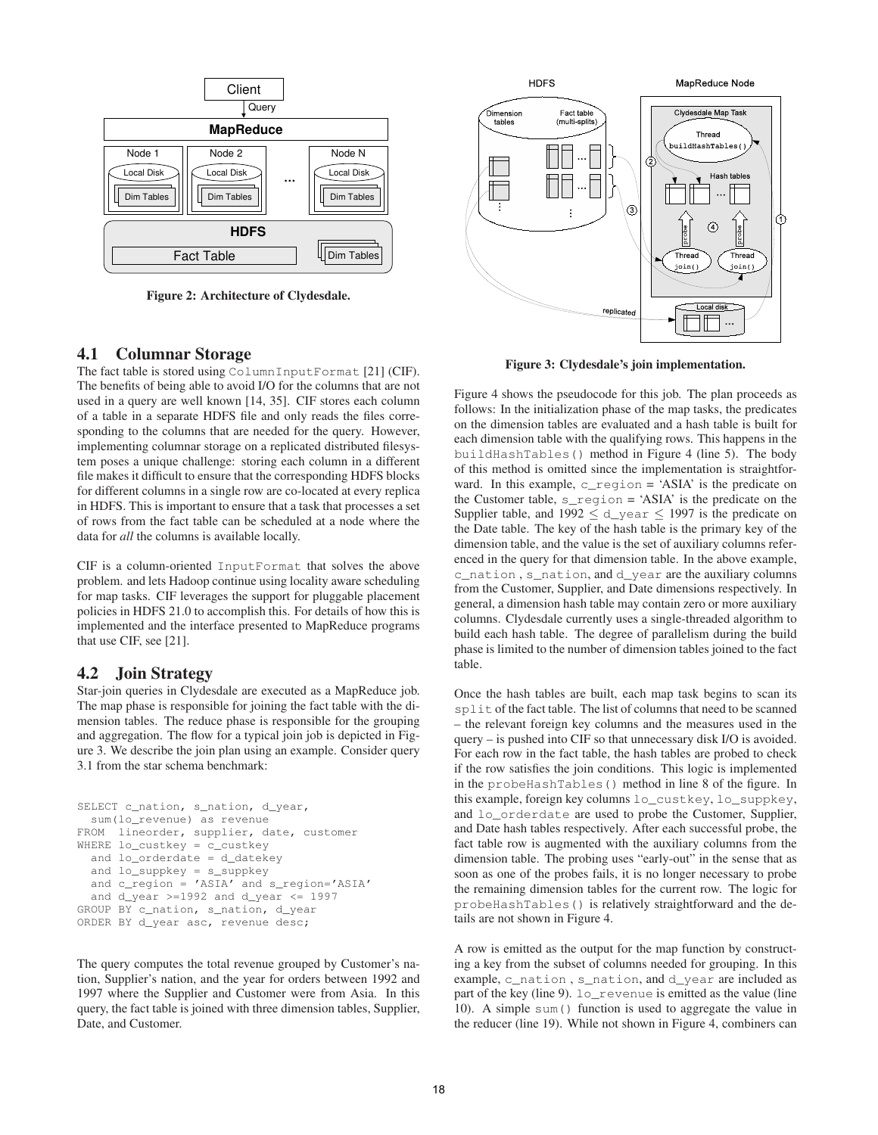

**Figure 2: Architecture of Clydesdale.**

#### **4.1 Columnar Storage**

The fact table is stored using ColumnInputFormat [21] (CIF). The benefits of being able to avoid I/O for the columns that are not used in a query are well known [14, 35]. CIF stores each column of a table in a separate HDFS file and only reads the files corresponding to the columns that are needed for the query. However, implementing columnar storage on a replicated distributed filesystem poses a unique challenge: storing each column in a different file makes it difficult to ensure that the corresponding HDFS blocks for different columns in a single row are co-located at every replica in HDFS. This is important to ensure that a task that processes a set of rows from the fact table can be scheduled at a node where the data for *all* the columns is available locally.

CIF is a column-oriented InputFormat that solves the above problem. and lets Hadoop continue using locality aware scheduling for map tasks. CIF leverages the support for pluggable placement policies in HDFS 21.0 to accomplish this. For details of how this is implemented and the interface presented to MapReduce programs that use CIF, see [21].

## **4.2 Join Strategy**

Star-join queries in Clydesdale are executed as a MapReduce job. The map phase is responsible for joining the fact table with the dimension tables. The reduce phase is responsible for the grouping and aggregation. The flow for a typical join job is depicted in Figure 3. We describe the join plan using an example. Consider query 3.1 from the star schema benchmark:

```
SELECT c_nation, s_nation, d_year,
  sum(lo_revenue) as revenue
FROM lineorder, supplier, date, customer
WHERE lo_custkey = c_custkey
  and lo_orderdate = d_datekey
  and lo suppkey = s suppkey
  and c_region = 'ASIA' and s_region='ASIA'
  and d<sub>year</sub> >=1992 and d<sub>year</sub> <= 1997
GROUP BY c_nation, s_nation, d_year
ORDER BY d_year asc, revenue desc;
```
The query computes the total revenue grouped by Customer's nation, Supplier's nation, and the year for orders between 1992 and 1997 where the Supplier and Customer were from Asia. In this query, the fact table is joined with three dimension tables, Supplier, Date, and Customer.



**Figure 3: Clydesdale's join implementation.**

Figure 4 shows the pseudocode for this job. The plan proceeds as follows: In the initialization phase of the map tasks, the predicates on the dimension tables are evaluated and a hash table is built for each dimension table with the qualifying rows. This happens in the buildHashTables() method in Figure 4 (line 5). The body of this method is omitted since the implementation is straightforward. In this example,  $c_{\text{region}} = 'ASIA'$  is the predicate on the Customer table,  $s$  region = 'ASIA' is the predicate on the Supplier table, and  $1992 \le d$  year  $\le 1997$  is the predicate on the Date table. The key of the hash table is the primary key of the dimension table, and the value is the set of auxiliary columns referenced in the query for that dimension table. In the above example, c\_nation , s\_nation, and d\_year are the auxiliary columns from the Customer, Supplier, and Date dimensions respectively. In general, a dimension hash table may contain zero or more auxiliary columns. Clydesdale currently uses a single-threaded algorithm to build each hash table. The degree of parallelism during the build phase is limited to the number of dimension tables joined to the fact table.

Once the hash tables are built, each map task begins to scan its split of the fact table. The list of columns that need to be scanned – the relevant foreign key columns and the measures used in the query – is pushed into CIF so that unnecessary disk I/O is avoided. For each row in the fact table, the hash tables are probed to check if the row satisfies the join conditions. This logic is implemented in the probeHashTables() method in line 8 of the figure. In this example, foreign key columns lo\_custkey, lo\_suppkey, and lo\_orderdate are used to probe the Customer, Supplier, and Date hash tables respectively. After each successful probe, the fact table row is augmented with the auxiliary columns from the dimension table. The probing uses "early-out" in the sense that as soon as one of the probes fails, it is no longer necessary to probe the remaining dimension tables for the current row. The logic for probeHashTables() is relatively straightforward and the details are not shown in Figure 4.

A row is emitted as the output for the map function by constructing a key from the subset of columns needed for grouping. In this example, c\_nation , s\_nation, and d\_year are included as part of the key (line 9). lo\_revenue is emitted as the value (line 10). A simple sum() function is used to aggregate the value in the reducer (line 19). While not shown in Figure 4, combiners can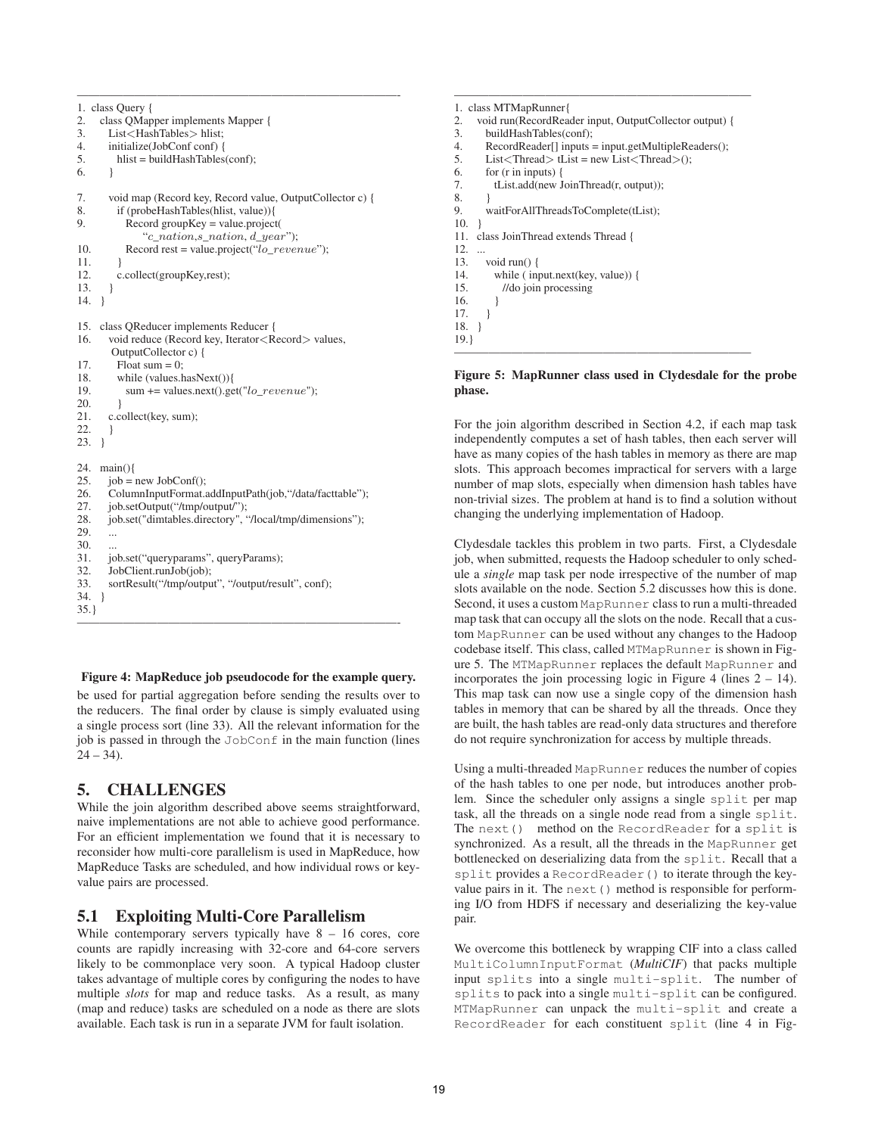```
1. class Query {
2. class QMapper implements Mapper {
3. List<HashTables> hlist;
4. initialize(JobConf conf) {
5. hlist = buildHashTables(conf);
6. }
7. void map (Record key, Record value, OutputCollector c) {
8. if (probeHashTables(hlist, value)){
9. Record groupKey = value.project(
             "c_nation,s_nation, d_year");
10. Record rest = value.project("lo\_revenue");
11. }
12. c.collect(groupKey,rest);
13. }
14. }
15. class QReducer implements Reducer {
16. void reduce (Record key, Iterator < Record > values,
       OutputCollector c) {
17. Float sum = 0;<br>18. while (values.h
        while (values.hasNext()){
19. sum += values.next().get("lo\_revenue");\frac{20}{21}c.collect(key, sum);
22. }
23. }
24. main(){
25. job = new JobConf();
26. ColumnInputFormat.addInputPath(job,"/data/facttable");
27. job.setOutput("/tmp/output/");
28. job.set("dimtables.directory", "/local/tmp/dimensions");
29. ...
30.<br>31.job.set("queryparams", queryParams);
32. JobClient.runJob(job);<br>33 sortResult("/tmn/outpu
      sortResult("/tmp/output", "/output/result", conf);
34. }
35.}
————————————————————————————-
```
————————————————————————————-

**Figure 4: MapReduce job pseudocode for the example query.**

be used for partial aggregation before sending the results over to the reducers. The final order by clause is simply evaluated using a single process sort (line 33). All the relevant information for the job is passed in through the JobConf in the main function (lines  $24 - 34$ ).

# **5. CHALLENGES**

While the join algorithm described above seems straightforward, naive implementations are not able to achieve good performance. For an efficient implementation we found that it is necessary to reconsider how multi-core parallelism is used in MapReduce, how MapReduce Tasks are scheduled, and how individual rows or keyvalue pairs are processed.

# **5.1 Exploiting Multi-Core Parallelism**

While contemporary servers typically have  $8 - 16$  cores, core counts are rapidly increasing with 32-core and 64-core servers likely to be commonplace very soon. A typical Hadoop cluster takes advantage of multiple cores by configuring the nodes to have multiple *slots* for map and reduce tasks. As a result, as many (map and reduce) tasks are scheduled on a node as there are slots available. Each task is run in a separate JVM for fault isolation.

```
1. class MTMapRunner{
2. void run(RecordReader input, OutputCollector output) {<br>3. buildHashTables(conf);
      buildHashTables(conf);
4. RecordReader[] inputs = input.getMultipleReaders();
5. List < Thread > tList = new List < Thread > ();
6. for (r in inputs) {
7. tList.add(new JoinThread(r, output));
8. }
9. waitForAllThreadsToComplete(tList);
10. }
11. class JoinThread extends Thread {
12.13.void run() {
14. while ( input.next(key, value)) {
15. //do join processing
16. }
17. }
18. }
19.}
```
——————————————————————————

#### **Figure 5: MapRunner class used in Clydesdale for the probe phase.**

——————————————————————————

For the join algorithm described in Section 4.2, if each map task independently computes a set of hash tables, then each server will have as many copies of the hash tables in memory as there are map slots. This approach becomes impractical for servers with a large number of map slots, especially when dimension hash tables have non-trivial sizes. The problem at hand is to find a solution without changing the underlying implementation of Hadoop.

Clydesdale tackles this problem in two parts. First, a Clydesdale job, when submitted, requests the Hadoop scheduler to only schedule a *single* map task per node irrespective of the number of map slots available on the node. Section 5.2 discusses how this is done. Second, it uses a custom MapRunner class to run a multi-threaded map task that can occupy all the slots on the node. Recall that a custom MapRunner can be used without any changes to the Hadoop codebase itself. This class, called MTMapRunner is shown in Figure 5. The MTMapRunner replaces the default MapRunner and incorporates the join processing logic in Figure 4 (lines 2 – 14). This map task can now use a single copy of the dimension hash tables in memory that can be shared by all the threads. Once they are built, the hash tables are read-only data structures and therefore do not require synchronization for access by multiple threads.

Using a multi-threaded MapRunner reduces the number of copies of the hash tables to one per node, but introduces another problem. Since the scheduler only assigns a single split per map task, all the threads on a single node read from a single split. The next() method on the RecordReader for a split is synchronized. As a result, all the threads in the MapRunner get bottlenecked on deserializing data from the split. Recall that a split provides a RecordReader() to iterate through the keyvalue pairs in it. The next () method is responsible for performing I/O from HDFS if necessary and deserializing the key-value pair.

We overcome this bottleneck by wrapping CIF into a class called MultiColumnInputFormat (*MultiCIF*) that packs multiple input splits into a single multi-split. The number of splits to pack into a single multi-split can be configured. MTMapRunner can unpack the multi-split and create a RecordReader for each constituent split (line 4 in Fig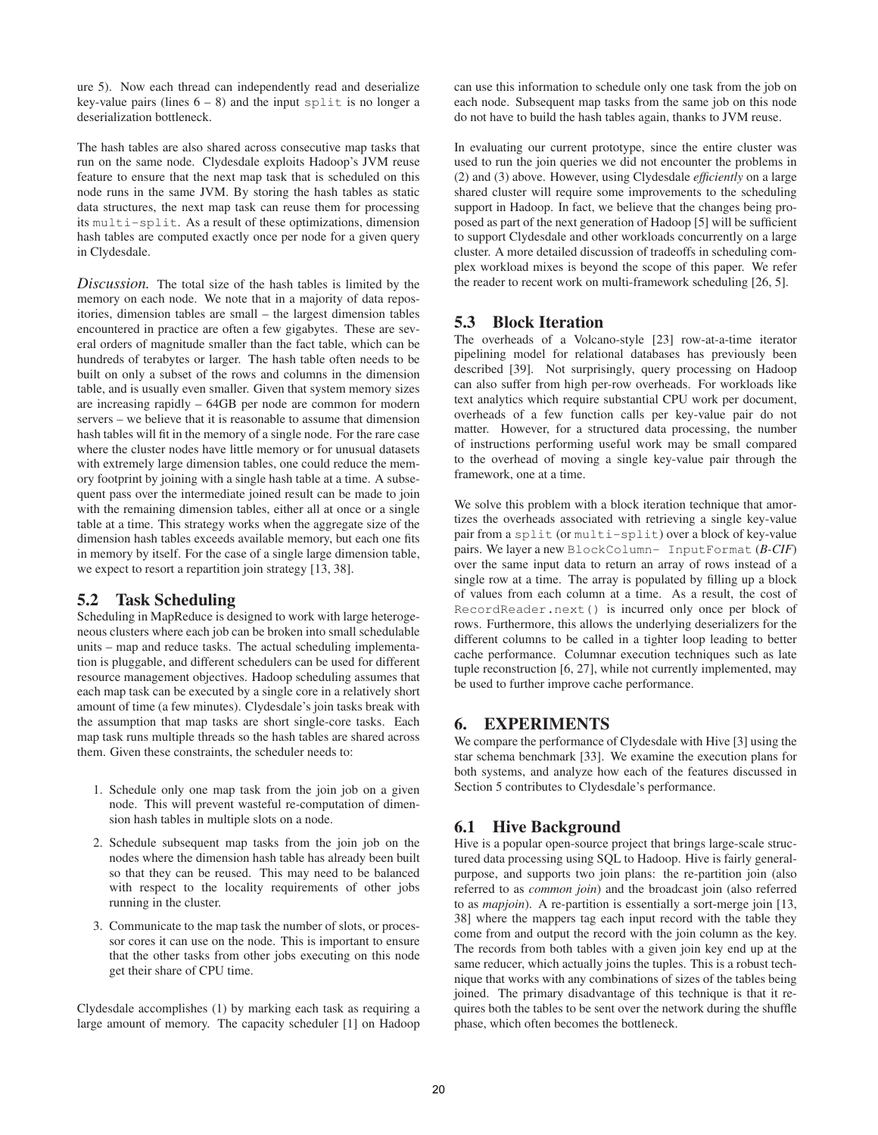ure 5). Now each thread can independently read and deserialize key-value pairs (lines  $6 - 8$ ) and the input split is no longer a deserialization bottleneck.

The hash tables are also shared across consecutive map tasks that run on the same node. Clydesdale exploits Hadoop's JVM reuse feature to ensure that the next map task that is scheduled on this node runs in the same JVM. By storing the hash tables as static data structures, the next map task can reuse them for processing its multi-split. As a result of these optimizations, dimension hash tables are computed exactly once per node for a given query in Clydesdale.

*Discussion.* The total size of the hash tables is limited by the memory on each node. We note that in a majority of data repositories, dimension tables are small – the largest dimension tables encountered in practice are often a few gigabytes. These are several orders of magnitude smaller than the fact table, which can be hundreds of terabytes or larger. The hash table often needs to be built on only a subset of the rows and columns in the dimension table, and is usually even smaller. Given that system memory sizes are increasing rapidly – 64GB per node are common for modern servers – we believe that it is reasonable to assume that dimension hash tables will fit in the memory of a single node. For the rare case where the cluster nodes have little memory or for unusual datasets with extremely large dimension tables, one could reduce the memory footprint by joining with a single hash table at a time. A subsequent pass over the intermediate joined result can be made to join with the remaining dimension tables, either all at once or a single table at a time. This strategy works when the aggregate size of the dimension hash tables exceeds available memory, but each one fits in memory by itself. For the case of a single large dimension table, we expect to resort a repartition join strategy [13, 38].

# **5.2 Task Scheduling**

Scheduling in MapReduce is designed to work with large heterogeneous clusters where each job can be broken into small schedulable units – map and reduce tasks. The actual scheduling implementation is pluggable, and different schedulers can be used for different resource management objectives. Hadoop scheduling assumes that each map task can be executed by a single core in a relatively short amount of time (a few minutes). Clydesdale's join tasks break with the assumption that map tasks are short single-core tasks. Each map task runs multiple threads so the hash tables are shared across them. Given these constraints, the scheduler needs to:

- 1. Schedule only one map task from the join job on a given node. This will prevent wasteful re-computation of dimension hash tables in multiple slots on a node.
- 2. Schedule subsequent map tasks from the join job on the nodes where the dimension hash table has already been built so that they can be reused. This may need to be balanced with respect to the locality requirements of other jobs running in the cluster.
- 3. Communicate to the map task the number of slots, or processor cores it can use on the node. This is important to ensure that the other tasks from other jobs executing on this node get their share of CPU time.

Clydesdale accomplishes (1) by marking each task as requiring a large amount of memory. The capacity scheduler [1] on Hadoop can use this information to schedule only one task from the job on each node. Subsequent map tasks from the same job on this node do not have to build the hash tables again, thanks to JVM reuse.

In evaluating our current prototype, since the entire cluster was used to run the join queries we did not encounter the problems in (2) and (3) above. However, using Clydesdale *efficiently* on a large shared cluster will require some improvements to the scheduling support in Hadoop. In fact, we believe that the changes being proposed as part of the next generation of Hadoop [5] will be sufficient to support Clydesdale and other workloads concurrently on a large cluster. A more detailed discussion of tradeoffs in scheduling complex workload mixes is beyond the scope of this paper. We refer the reader to recent work on multi-framework scheduling [26, 5].

# **5.3 Block Iteration**

The overheads of a Volcano-style [23] row-at-a-time iterator pipelining model for relational databases has previously been described [39]. Not surprisingly, query processing on Hadoop can also suffer from high per-row overheads. For workloads like text analytics which require substantial CPU work per document, overheads of a few function calls per key-value pair do not matter. However, for a structured data processing, the number of instructions performing useful work may be small compared to the overhead of moving a single key-value pair through the framework, one at a time.

We solve this problem with a block iteration technique that amortizes the overheads associated with retrieving a single key-value pair from a split (or multi-split) over a block of key-value pairs. We layer a new BlockColumn- InputFormat (*B-CIF*) over the same input data to return an array of rows instead of a single row at a time. The array is populated by filling up a block of values from each column at a time. As a result, the cost of RecordReader.next() is incurred only once per block of rows. Furthermore, this allows the underlying deserializers for the different columns to be called in a tighter loop leading to better cache performance. Columnar execution techniques such as late tuple reconstruction [6, 27], while not currently implemented, may be used to further improve cache performance.

# **6. EXPERIMENTS**

We compare the performance of Clydesdale with Hive [3] using the star schema benchmark [33]. We examine the execution plans for both systems, and analyze how each of the features discussed in Section 5 contributes to Clydesdale's performance.

# **6.1 Hive Background**

Hive is a popular open-source project that brings large-scale structured data processing using SQL to Hadoop. Hive is fairly generalpurpose, and supports two join plans: the re-partition join (also referred to as *common join*) and the broadcast join (also referred to as *mapjoin*). A re-partition is essentially a sort-merge join [13, 38] where the mappers tag each input record with the table they come from and output the record with the join column as the key. The records from both tables with a given join key end up at the same reducer, which actually joins the tuples. This is a robust technique that works with any combinations of sizes of the tables being joined. The primary disadvantage of this technique is that it requires both the tables to be sent over the network during the shuffle phase, which often becomes the bottleneck.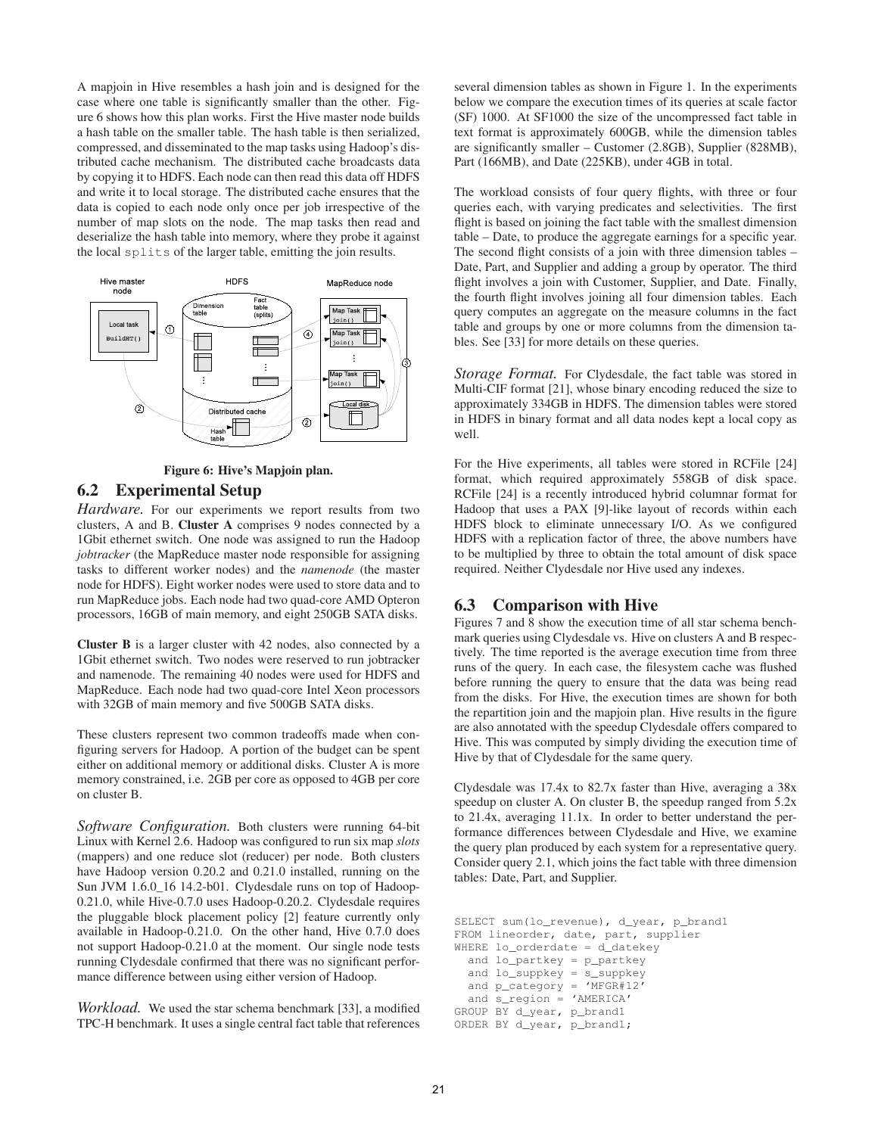A mapjoin in Hive resembles a hash join and is designed for the case where one table is significantly smaller than the other. Figure 6 shows how this plan works. First the Hive master node builds a hash table on the smaller table. The hash table is then serialized, compressed, and disseminated to the map tasks using Hadoop's distributed cache mechanism. The distributed cache broadcasts data by copying it to HDFS. Each node can then read this data off HDFS and write it to local storage. The distributed cache ensures that the data is copied to each node only once per job irrespective of the number of map slots on the node. The map tasks then read and deserialize the hash table into memory, where they probe it against the local splits of the larger table, emitting the join results.





#### **6.2 Experimental Setup**

*Hardware.* For our experiments we report results from two clusters, A and B. **Cluster A** comprises 9 nodes connected by a 1Gbit ethernet switch. One node was assigned to run the Hadoop *jobtracker* (the MapReduce master node responsible for assigning tasks to different worker nodes) and the *namenode* (the master node for HDFS). Eight worker nodes were used to store data and to run MapReduce jobs. Each node had two quad-core AMD Opteron processors, 16GB of main memory, and eight 250GB SATA disks.

**Cluster B** is a larger cluster with 42 nodes, also connected by a 1Gbit ethernet switch. Two nodes were reserved to run jobtracker and namenode. The remaining 40 nodes were used for HDFS and MapReduce. Each node had two quad-core Intel Xeon processors with 32GB of main memory and five 500GB SATA disks.

These clusters represent two common tradeoffs made when configuring servers for Hadoop. A portion of the budget can be spent either on additional memory or additional disks. Cluster A is more memory constrained, i.e. 2GB per core as opposed to 4GB per core on cluster B.

*Software Configuration.* Both clusters were running 64-bit Linux with Kernel 2.6. Hadoop was configured to run six map *slots* (mappers) and one reduce slot (reducer) per node. Both clusters have Hadoop version 0.20.2 and 0.21.0 installed, running on the Sun JVM 1.6.0\_16 14.2-b01. Clydesdale runs on top of Hadoop-0.21.0, while Hive-0.7.0 uses Hadoop-0.20.2. Clydesdale requires the pluggable block placement policy [2] feature currently only available in Hadoop-0.21.0. On the other hand, Hive 0.7.0 does not support Hadoop-0.21.0 at the moment. Our single node tests running Clydesdale confirmed that there was no significant performance difference between using either version of Hadoop.

*Workload.* We used the star schema benchmark [33], a modified TPC-H benchmark. It uses a single central fact table that references several dimension tables as shown in Figure 1. In the experiments below we compare the execution times of its queries at scale factor (SF) 1000. At SF1000 the size of the uncompressed fact table in text format is approximately 600GB, while the dimension tables are significantly smaller – Customer (2.8GB), Supplier (828MB), Part (166MB), and Date (225KB), under 4GB in total.

The workload consists of four query flights, with three or four queries each, with varying predicates and selectivities. The first flight is based on joining the fact table with the smallest dimension table – Date, to produce the aggregate earnings for a specific year. The second flight consists of a join with three dimension tables – Date, Part, and Supplier and adding a group by operator. The third flight involves a join with Customer, Supplier, and Date. Finally, the fourth flight involves joining all four dimension tables. Each query computes an aggregate on the measure columns in the fact table and groups by one or more columns from the dimension tables. See [33] for more details on these queries.

*Storage Format.* For Clydesdale, the fact table was stored in Multi-CIF format [21], whose binary encoding reduced the size to approximately 334GB in HDFS. The dimension tables were stored in HDFS in binary format and all data nodes kept a local copy as well.

For the Hive experiments, all tables were stored in RCFile [24] format, which required approximately 558GB of disk space. RCFile [24] is a recently introduced hybrid columnar format for Hadoop that uses a PAX [9]-like layout of records within each HDFS block to eliminate unnecessary I/O. As we configured HDFS with a replication factor of three, the above numbers have to be multiplied by three to obtain the total amount of disk space required. Neither Clydesdale nor Hive used any indexes.

# **6.3 Comparison with Hive**

Figures 7 and 8 show the execution time of all star schema benchmark queries using Clydesdale vs. Hive on clusters A and B respectively. The time reported is the average execution time from three runs of the query. In each case, the filesystem cache was flushed before running the query to ensure that the data was being read from the disks. For Hive, the execution times are shown for both the repartition join and the mapjoin plan. Hive results in the figure are also annotated with the speedup Clydesdale offers compared to Hive. This was computed by simply dividing the execution time of Hive by that of Clydesdale for the same query.

Clydesdale was 17.4x to 82.7x faster than Hive, averaging a 38x speedup on cluster A. On cluster B, the speedup ranged from 5.2x to 21.4x, averaging 11.1x. In order to better understand the performance differences between Clydesdale and Hive, we examine the query plan produced by each system for a representative query. Consider query 2.1, which joins the fact table with three dimension tables: Date, Part, and Supplier.

```
SELECT sum(lo_revenue), d_year, p_brand1
FROM lineorder, date, part, supplier
WHERE lo_orderdate = d_datekey
  and lo_partkey = p_partkey
  and lo_suppkey = s_suppkey
  and p_category = 'MFGR#12'
  and s_region = 'AMERICA'
GROUP BY d_year, p_brand1
ORDER BY d_year, p_brand1;
```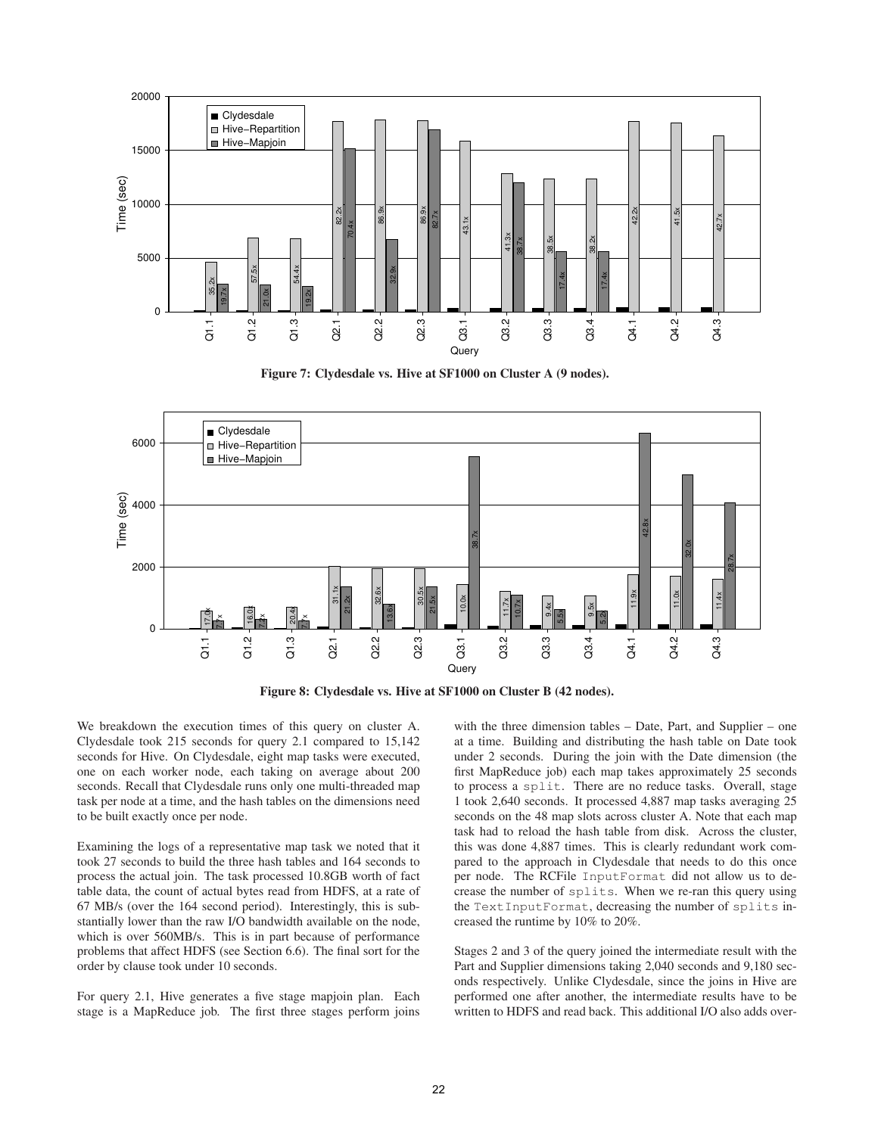

**Figure 7: Clydesdale vs. Hive at SF1000 on Cluster A (9 nodes).**





We breakdown the execution times of this query on cluster A. Clydesdale took 215 seconds for query 2.1 compared to 15,142 seconds for Hive. On Clydesdale, eight map tasks were executed, one on each worker node, each taking on average about 200 seconds. Recall that Clydesdale runs only one multi-threaded map task per node at a time, and the hash tables on the dimensions need to be built exactly once per node.

Examining the logs of a representative map task we noted that it took 27 seconds to build the three hash tables and 164 seconds to process the actual join. The task processed 10.8GB worth of fact table data, the count of actual bytes read from HDFS, at a rate of 67 MB/s (over the 164 second period). Interestingly, this is substantially lower than the raw I/O bandwidth available on the node, which is over 560MB/s. This is in part because of performance problems that affect HDFS (see Section 6.6). The final sort for the order by clause took under 10 seconds.

For query 2.1, Hive generates a five stage mapjoin plan. Each stage is a MapReduce job. The first three stages perform joins with the three dimension tables – Date, Part, and Supplier – one at a time. Building and distributing the hash table on Date took under 2 seconds. During the join with the Date dimension (the first MapReduce job) each map takes approximately 25 seconds to process a split. There are no reduce tasks. Overall, stage 1 took 2,640 seconds. It processed 4,887 map tasks averaging 25 seconds on the 48 map slots across cluster A. Note that each map task had to reload the hash table from disk. Across the cluster, this was done 4,887 times. This is clearly redundant work compared to the approach in Clydesdale that needs to do this once per node. The RCFile InputFormat did not allow us to decrease the number of splits. When we re-ran this query using the TextInputFormat, decreasing the number of splits increased the runtime by 10% to 20%.

Stages 2 and 3 of the query joined the intermediate result with the Part and Supplier dimensions taking 2,040 seconds and 9,180 seconds respectively. Unlike Clydesdale, since the joins in Hive are performed one after another, the intermediate results have to be written to HDFS and read back. This additional I/O also adds over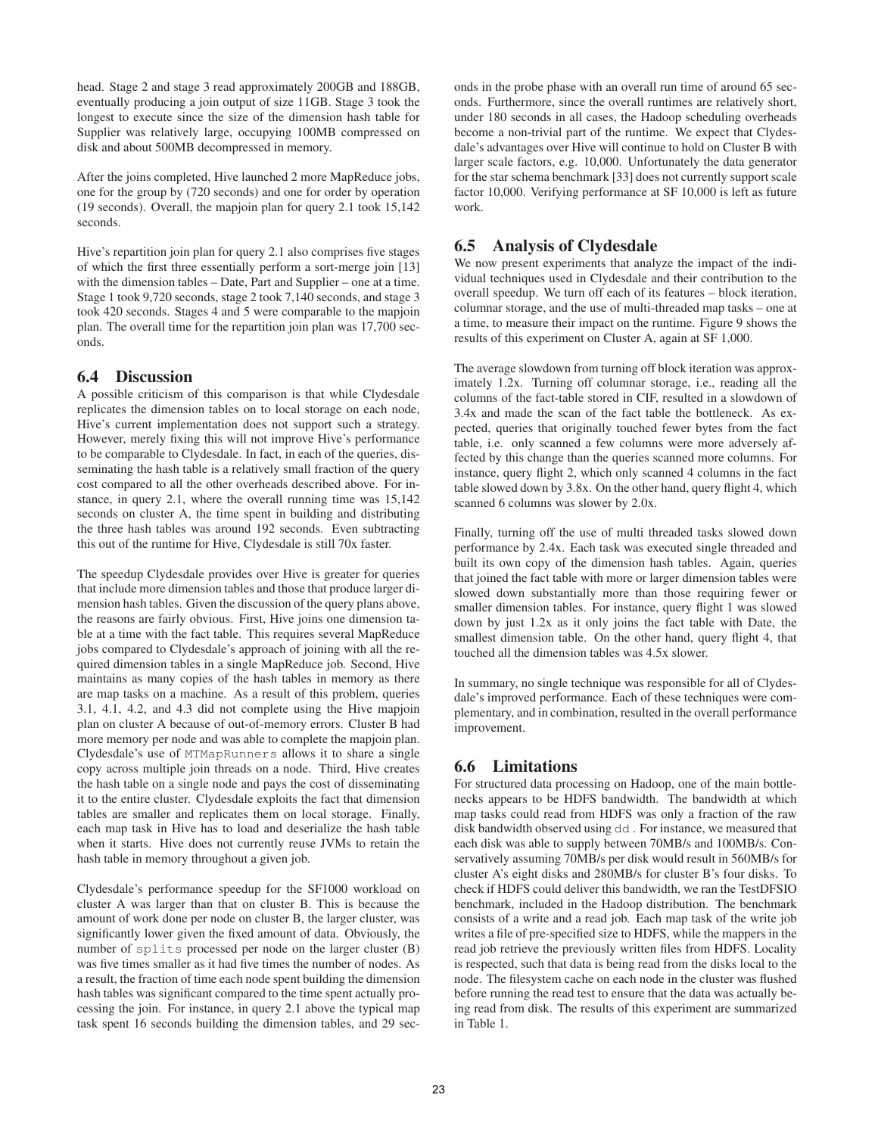head. Stage 2 and stage 3 read approximately 200GB and 188GB, eventually producing a join output of size 11GB. Stage 3 took the longest to execute since the size of the dimension hash table for Supplier was relatively large, occupying 100MB compressed on disk and about 500MB decompressed in memory.

After the joins completed, Hive launched 2 more MapReduce jobs, one for the group by (720 seconds) and one for order by operation (19 seconds). Overall, the mapjoin plan for query 2.1 took 15,142 seconds.

Hive's repartition join plan for query 2.1 also comprises five stages of which the first three essentially perform a sort-merge join [13] with the dimension tables – Date, Part and Supplier – one at a time. Stage 1 took 9,720 seconds, stage 2 took 7,140 seconds, and stage 3 took 420 seconds. Stages 4 and 5 were comparable to the mapjoin plan. The overall time for the repartition join plan was 17,700 seconds.

# **6.4 Discussion**

A possible criticism of this comparison is that while Clydesdale replicates the dimension tables on to local storage on each node, Hive's current implementation does not support such a strategy. However, merely fixing this will not improve Hive's performance to be comparable to Clydesdale. In fact, in each of the queries, disseminating the hash table is a relatively small fraction of the query cost compared to all the other overheads described above. For instance, in query 2.1, where the overall running time was 15,142 seconds on cluster A, the time spent in building and distributing the three hash tables was around 192 seconds. Even subtracting this out of the runtime for Hive, Clydesdale is still 70x faster.

The speedup Clydesdale provides over Hive is greater for queries that include more dimension tables and those that produce larger dimension hash tables. Given the discussion of the query plans above, the reasons are fairly obvious. First, Hive joins one dimension table at a time with the fact table. This requires several MapReduce jobs compared to Clydesdale's approach of joining with all the required dimension tables in a single MapReduce job. Second, Hive maintains as many copies of the hash tables in memory as there are map tasks on a machine. As a result of this problem, queries 3.1, 4.1, 4.2, and 4.3 did not complete using the Hive mapjoin plan on cluster A because of out-of-memory errors. Cluster B had more memory per node and was able to complete the mapjoin plan. Clydesdale's use of MTMapRunners allows it to share a single copy across multiple join threads on a node. Third, Hive creates the hash table on a single node and pays the cost of disseminating it to the entire cluster. Clydesdale exploits the fact that dimension tables are smaller and replicates them on local storage. Finally, each map task in Hive has to load and deserialize the hash table when it starts. Hive does not currently reuse JVMs to retain the hash table in memory throughout a given job.

Clydesdale's performance speedup for the SF1000 workload on cluster A was larger than that on cluster B. This is because the amount of work done per node on cluster B, the larger cluster, was significantly lower given the fixed amount of data. Obviously, the number of splits processed per node on the larger cluster (B) was five times smaller as it had five times the number of nodes. As a result, the fraction of time each node spent building the dimension hash tables was significant compared to the time spent actually processing the join. For instance, in query 2.1 above the typical map task spent 16 seconds building the dimension tables, and 29 seconds in the probe phase with an overall run time of around 65 seconds. Furthermore, since the overall runtimes are relatively short, under 180 seconds in all cases, the Hadoop scheduling overheads become a non-trivial part of the runtime. We expect that Clydesdale's advantages over Hive will continue to hold on Cluster B with larger scale factors, e.g. 10,000. Unfortunately the data generator for the star schema benchmark [33] does not currently support scale factor 10,000. Verifying performance at SF 10,000 is left as future work.

# **6.5 Analysis of Clydesdale**

We now present experiments that analyze the impact of the individual techniques used in Clydesdale and their contribution to the overall speedup. We turn off each of its features – block iteration, columnar storage, and the use of multi-threaded map tasks – one at a time, to measure their impact on the runtime. Figure 9 shows the results of this experiment on Cluster A, again at SF 1,000.

The average slowdown from turning off block iteration was approximately 1.2x. Turning off columnar storage, i.e., reading all the columns of the fact-table stored in CIF, resulted in a slowdown of 3.4x and made the scan of the fact table the bottleneck. As expected, queries that originally touched fewer bytes from the fact table, i.e. only scanned a few columns were more adversely affected by this change than the queries scanned more columns. For instance, query flight 2, which only scanned 4 columns in the fact table slowed down by 3.8x. On the other hand, query flight 4, which scanned 6 columns was slower by 2.0x.

Finally, turning off the use of multi threaded tasks slowed down performance by 2.4x. Each task was executed single threaded and built its own copy of the dimension hash tables. Again, queries that joined the fact table with more or larger dimension tables were slowed down substantially more than those requiring fewer or smaller dimension tables. For instance, query flight 1 was slowed down by just 1.2x as it only joins the fact table with Date, the smallest dimension table. On the other hand, query flight 4, that touched all the dimension tables was 4.5x slower.

In summary, no single technique was responsible for all of Clydesdale's improved performance. Each of these techniques were complementary, and in combination, resulted in the overall performance improvement.

# **6.6 Limitations**

For structured data processing on Hadoop, one of the main bottlenecks appears to be HDFS bandwidth. The bandwidth at which map tasks could read from HDFS was only a fraction of the raw disk bandwidth observed using dd . For instance, we measured that each disk was able to supply between 70MB/s and 100MB/s. Conservatively assuming 70MB/s per disk would result in 560MB/s for cluster A's eight disks and 280MB/s for cluster B's four disks. To check if HDFS could deliver this bandwidth, we ran the TestDFSIO benchmark, included in the Hadoop distribution. The benchmark consists of a write and a read job. Each map task of the write job writes a file of pre-specified size to HDFS, while the mappers in the read job retrieve the previously written files from HDFS. Locality is respected, such that data is being read from the disks local to the node. The filesystem cache on each node in the cluster was flushed before running the read test to ensure that the data was actually being read from disk. The results of this experiment are summarized in Table 1.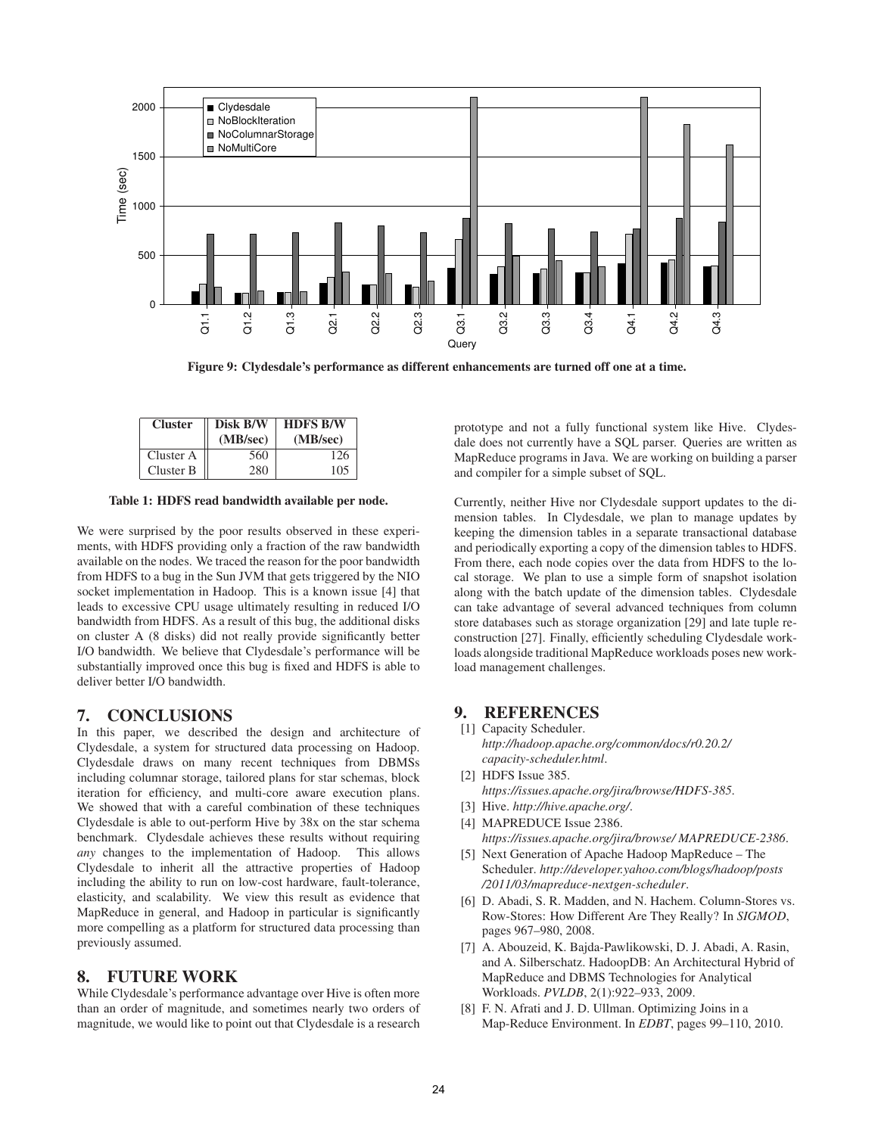

**Figure 9: Clydesdale's performance as different enhancements are turned off one at a time.**

| <b>Cluster</b> | Disk B/W<br>(MB/sec) | <b>HDFS B/W</b><br>(MB/sec) |
|----------------|----------------------|-----------------------------|
| Cluster A      | 560                  | 126                         |
| Cluster B      | 280                  | 105                         |

**Table 1: HDFS read bandwidth available per node.**

We were surprised by the poor results observed in these experiments, with HDFS providing only a fraction of the raw bandwidth available on the nodes. We traced the reason for the poor bandwidth from HDFS to a bug in the Sun JVM that gets triggered by the NIO socket implementation in Hadoop. This is a known issue [4] that leads to excessive CPU usage ultimately resulting in reduced I/O bandwidth from HDFS. As a result of this bug, the additional disks on cluster A (8 disks) did not really provide significantly better I/O bandwidth. We believe that Clydesdale's performance will be substantially improved once this bug is fixed and HDFS is able to deliver better I/O bandwidth.

#### **7. CONCLUSIONS**

In this paper, we described the design and architecture of Clydesdale, a system for structured data processing on Hadoop. Clydesdale draws on many recent techniques from DBMSs including columnar storage, tailored plans for star schemas, block iteration for efficiency, and multi-core aware execution plans. We showed that with a careful combination of these techniques Clydesdale is able to out-perform Hive by 38x on the star schema benchmark. Clydesdale achieves these results without requiring *any* changes to the implementation of Hadoop. This allows Clydesdale to inherit all the attractive properties of Hadoop including the ability to run on low-cost hardware, fault-tolerance, elasticity, and scalability. We view this result as evidence that MapReduce in general, and Hadoop in particular is significantly more compelling as a platform for structured data processing than previously assumed.

# **8. FUTURE WORK**

While Clydesdale's performance advantage over Hive is often more than an order of magnitude, and sometimes nearly two orders of magnitude, we would like to point out that Clydesdale is a research prototype and not a fully functional system like Hive. Clydesdale does not currently have a SQL parser. Queries are written as MapReduce programs in Java. We are working on building a parser and compiler for a simple subset of SQL.

Currently, neither Hive nor Clydesdale support updates to the dimension tables. In Clydesdale, we plan to manage updates by keeping the dimension tables in a separate transactional database and periodically exporting a copy of the dimension tables to HDFS. From there, each node copies over the data from HDFS to the local storage. We plan to use a simple form of snapshot isolation along with the batch update of the dimension tables. Clydesdale can take advantage of several advanced techniques from column store databases such as storage organization [29] and late tuple reconstruction [27]. Finally, efficiently scheduling Clydesdale workloads alongside traditional MapReduce workloads poses new workload management challenges.

# **9. REFERENCES**

- [1] Capacity Scheduler. *http://hadoop.apache.org/common/docs/r0.20.2/ capacity-scheduler.html*.
- [2] HDFS Issue 385. *https://issues.apache.org/jira/browse/HDFS-385*.
- [3] Hive. *http://hive.apache.org/*.
- [4] MAPREDUCE Issue 2386. *https://issues.apache.org/jira/browse/ MAPREDUCE-2386*.
- [5] Next Generation of Apache Hadoop MapReduce The Scheduler. *http://developer.yahoo.com/blogs/hadoop/posts /2011/03/mapreduce-nextgen-scheduler*.
- [6] D. Abadi, S. R. Madden, and N. Hachem. Column-Stores vs. Row-Stores: How Different Are They Really? In *SIGMOD*, pages 967–980, 2008.
- [7] A. Abouzeid, K. Bajda-Pawlikowski, D. J. Abadi, A. Rasin, and A. Silberschatz. HadoopDB: An Architectural Hybrid of MapReduce and DBMS Technologies for Analytical Workloads. *PVLDB*, 2(1):922–933, 2009.
- [8] F. N. Afrati and J. D. Ullman. Optimizing Joins in a Map-Reduce Environment. In *EDBT*, pages 99–110, 2010.